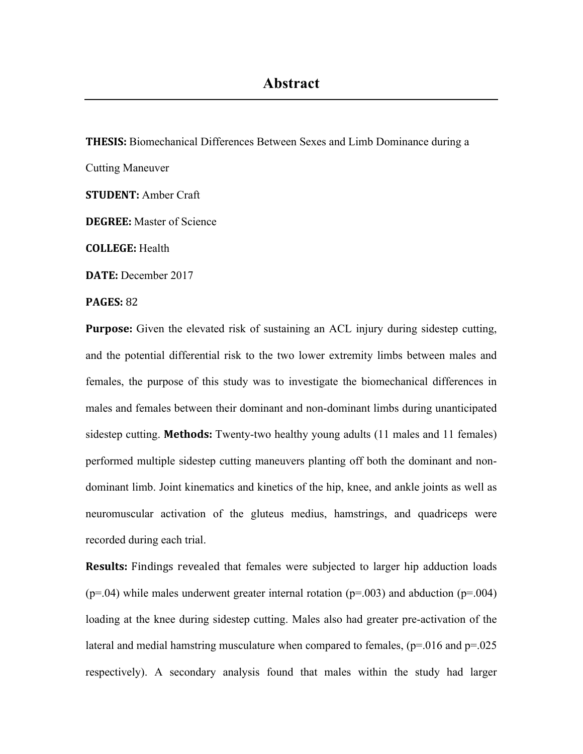**THESIS:** Biomechanical Differences Between Sexes and Limb Dominance during a Cutting Maneuver **STUDENT:** Amber Craft **DEGREE:** Master of Science **COLLEGE:** Health **DATE:** December 2017 **PAGES: 82** 

**Purpose:** Given the elevated risk of sustaining an ACL injury during sidestep cutting, and the potential differential risk to the two lower extremity limbs between males and females, the purpose of this study was to investigate the biomechanical differences in males and females between their dominant and non-dominant limbs during unanticipated sidestep cutting. **Methods:** Twenty-two healthy young adults (11 males and 11 females) performed multiple sidestep cutting maneuvers planting off both the dominant and nondominant limb. Joint kinematics and kinetics of the hip, knee, and ankle joints as well as neuromuscular activation of the gluteus medius, hamstrings, and quadriceps were recorded during each trial.

**Results:** Findings revealed that females were subjected to larger hip adduction loads  $(p=0.04)$  while males underwent greater internal rotation  $(p=0.003)$  and abduction  $(p=0.04)$ loading at the knee during sidestep cutting. Males also had greater pre-activation of the lateral and medial hamstring musculature when compared to females,  $(p=0.016$  and  $p=0.025$ respectively). A secondary analysis found that males within the study had larger